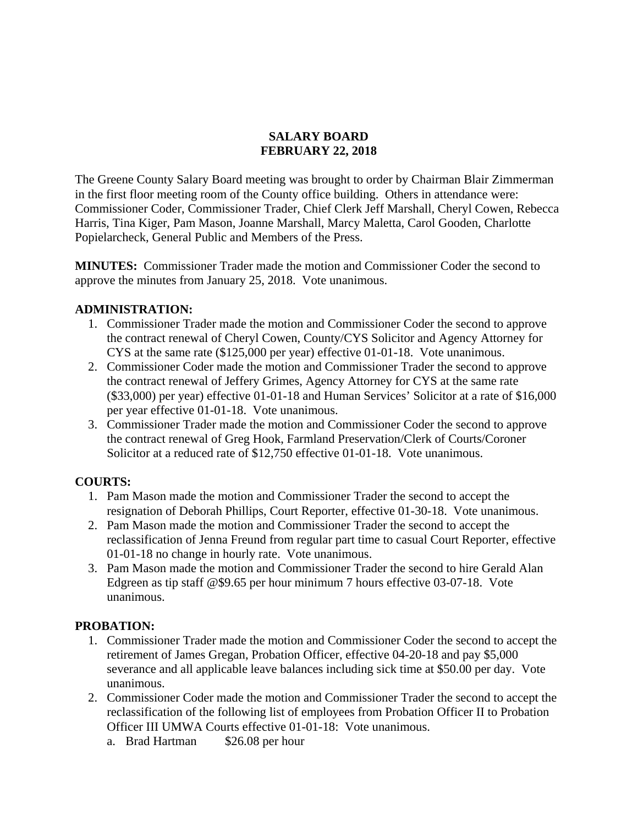#### **SALARY BOARD FEBRUARY 22, 2018**

The Greene County Salary Board meeting was brought to order by Chairman Blair Zimmerman in the first floor meeting room of the County office building. Others in attendance were: Commissioner Coder, Commissioner Trader, Chief Clerk Jeff Marshall, Cheryl Cowen, Rebecca Harris, Tina Kiger, Pam Mason, Joanne Marshall, Marcy Maletta, Carol Gooden, Charlotte Popielarcheck, General Public and Members of the Press.

**MINUTES:** Commissioner Trader made the motion and Commissioner Coder the second to approve the minutes from January 25, 2018. Vote unanimous.

### **ADMINISTRATION:**

- 1. Commissioner Trader made the motion and Commissioner Coder the second to approve the contract renewal of Cheryl Cowen, County/CYS Solicitor and Agency Attorney for CYS at the same rate (\$125,000 per year) effective 01-01-18. Vote unanimous.
- 2. Commissioner Coder made the motion and Commissioner Trader the second to approve the contract renewal of Jeffery Grimes, Agency Attorney for CYS at the same rate (\$33,000) per year) effective 01-01-18 and Human Services' Solicitor at a rate of \$16,000 per year effective 01-01-18. Vote unanimous.
- 3. Commissioner Trader made the motion and Commissioner Coder the second to approve the contract renewal of Greg Hook, Farmland Preservation/Clerk of Courts/Coroner Solicitor at a reduced rate of \$12,750 effective 01-01-18. Vote unanimous.

### **COURTS:**

- 1. Pam Mason made the motion and Commissioner Trader the second to accept the resignation of Deborah Phillips, Court Reporter, effective 01-30-18. Vote unanimous.
- 2. Pam Mason made the motion and Commissioner Trader the second to accept the reclassification of Jenna Freund from regular part time to casual Court Reporter, effective 01-01-18 no change in hourly rate. Vote unanimous.
- 3. Pam Mason made the motion and Commissioner Trader the second to hire Gerald Alan Edgreen as tip staff @\$9.65 per hour minimum 7 hours effective 03-07-18. Vote unanimous.

### **PROBATION:**

- 1. Commissioner Trader made the motion and Commissioner Coder the second to accept the retirement of James Gregan, Probation Officer, effective 04-20-18 and pay \$5,000 severance and all applicable leave balances including sick time at \$50.00 per day. Vote unanimous.
- 2. Commissioner Coder made the motion and Commissioner Trader the second to accept the reclassification of the following list of employees from Probation Officer II to Probation Officer III UMWA Courts effective 01-01-18: Vote unanimous.
	- a. Brad Hartman \$26.08 per hour